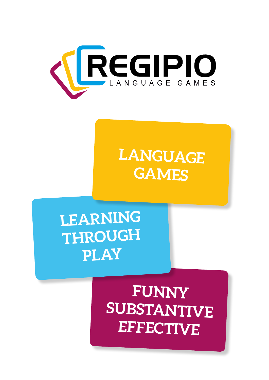

# **LANGUAGE GAMES**

# **LEARNING THROUGH PLAY**

## **FUNNY SUBSTANTIVE EFFECTIVE**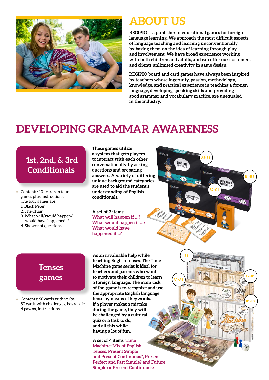

### **ABOUT US**

**REGIPIO is a publisher of educational games for foreign language learning. We approach the most difficult aspects of language teaching and learning unconventionally, by basing them on the idea of learning through play and involvement. We have broad experience working with both children and adults, and can offer our customers and clients unlimited creativity in game design.**

**REGIPIO board and card games have always been inspired by teachers whose ingenuity, passion, methodology, knowledge, and practical experience in teaching a foreign language, developing speaking skills and providing good grammar and vocabulary practice, are unequaled in the industry.**

**A1-A2**

**B1**

**A2-B1**

**B2-C1**

Future Si

**A2-B1**

**B1-B2**

**B1-B2**

## **DEVELOPING GRAMMAR AWARENESS**

#### **1st, 2nd, & 3rd Conditionals**

- Contents: 101 cards in four games plus instructions. The four games are:
	- 1. Black Peter
	- 2. The Chain
	- 3. What will/would happen/ would have happened if

**Tenses** 

**games**

Contents: 60 cards with verbs, 50 cards with challenges, board, die,

4 pawns, instructions.

4. Shower of questions

#### **These games utilize a system that gets players to interact with each other conversationally by asking questions and preparing answers. A variety of differing unique background categories are used to aid the student's understanding of English conditionals.**

**A set of 3 items: What will happen if …? What would happen if …? What would have happened if…?**

**As an invaluable help while teaching English tenses, The Time Machine game series is ideal for teachers and parents who want to motivate their children to learn a foreign language. The main task of the game is to recognize and use the appropriate English language tense by means of keywords. If a player makes a mistake during the game, they will be challenged by a cultural quiz or a task to do, and all this while having a lot of fun.**

**A set of 4 items: Time Machine: Mix of English Tenses, Present Simple and Present Continuous?, Present Perfect and Past Simple? and Future Simple or Present Continuous?**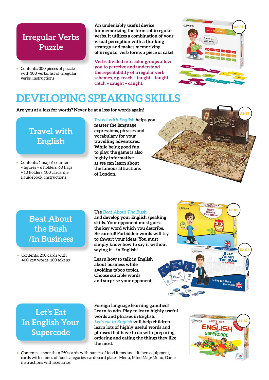#### **Irregular Verbs Puzzle**

• Contents: 300 pieces of puzzle with 100 verbs, list of irregular verbs, instructions

**An undeniably useful device for memorizing the forms of irregular verbs. It utilizes a combination of your visual perception with a thinking strategy and makes memorizing of irregular verb forms a piece of cake!**

**Verbs divided into color groups allow you to perceive and understand the repeatability of irregular verb schemes, e.g. teach – taught – taught, catch – caught – caught.**



### **DEVELOPING SPEAKING SKILLS**

**Are you at a loss for words? Never be at a loss for words again!**

**Travel with English**

• Contents: 1 map, 6 counters – figures + 6 holders, 60 flags + 10 holders, 100 cards, die, 1 guidebook, instructions

*Travel with English* **helps you master the language expressions, phrases and vocabulary for your travelling adventures. While being good fun to play, the game is also highly informative as we can learn about the famous attractions of London.** 



#### **Beat About the Bush /in Business**

• Contents: 200 cards with 400 key words, 100 tokens

#### **Use** *Beat About The Bush*

**and develop your English speaking skills. Your opponent must guess the key word which you describe. Be careful! Forbidden words will try to thwart your ideas! You must simply know how to say it without saying it – in English!**

**Learn how to talk in English about business while avoiding taboo topics. Choose suitable words and surprise your opponent!**



**Let's Eat In English Your Supercode**

**Foreign language learning gamified! Learn to win. Play to learn highly useful words and phrases in English.** *Let's eat in English* **will help children learn lots of highly useful words and phrases that have to do with preparing, ordering and eating the things they like the most.**



• Contents – more than 250: cards with names of food items and kitchen equipment, cards with names of food categories, cardboard plates, Menu, Mind Map/Menu, Game instructions with scenarios.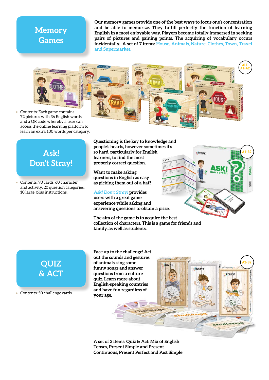#### **Memory Games**

**Our memory games provide one of the best ways to focus one's concentration and be able to memorize. They fulfill perfectly the function of learning English in a most enjoyable way. Players become totally immersed in seeking pairs of pictures and gaining points. The acquiring of vocabulary occurs incidentally. A set of 7 items: House, Animals, Nature, Clothes, Town, Travel and Supermarket.**

> **ALL A1-A2**

> > **A1-B2**

REGIPIO

**A2-B2**

aller



• Contents: Each game contains 72 pictures with 36 English words and a QR code whereby a user can access the online learning platform to learn an extra 100 words per category.

#### **Ask! Don't Stray!**

• Contents: 90 cards; 60 character and activity, 20 question categories, 10 large, plus instructions.

**Questioning is the key to knowledge and people's hearts, however sometimes it's so hard, particularly for English learners, to find the most properly correct question.**

**Want to make asking questions in English as easy as picking them out of a hat?** 

*Ask! Don't Stray!* **provides users with a great game experience while asking and answering questions to obtain a prize.**

**The aim of the game is to acquire the best collection of characters. This is a game for friends and family, as well as students.**

### **QUIZ & ACT**

• Contents: 50 challenge cards

**Face up to the challenge! Act out the sounds and gestures of animals, sing some funny songs and answer questions from a culture quiz. Learn more about English-speaking countries and have fun regardless of your age.**

**A set of 3 items: Quiz & Act: Mix of English Tenses, Present Simple and Present Continuous, Present Perfect and Past Simple**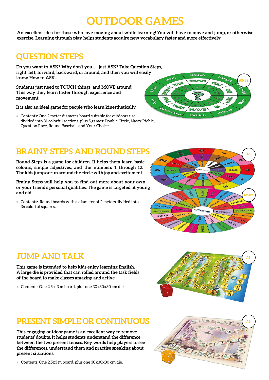## **OUTDOOR GAMES**

**An excellent idea for those who love moving about while learning! You will have to move and jump, or otherwise exercise. Learning through play helps students acquire new vocabulary faster and more effectively!**

#### **QUESTION STEPS**

**Do you want to ASK? Why don't you... - just ASK? Take Question Steps, right, left, forward, backward, or around, and then you will easily know How to ASK.** 

**Students just need to TOUCH things and MOVE around! This way they learn faster through experience and movement.**

**It is also an ideal game for people who learn kinesthetically.**

• Contents: One 2 meter diameter board suitable for outdoors use divided into 31 colorful sections, plus 5 games: Double Circle, Nasty Richie, Question Race, Round Baseball, and Your Choice.



#### **BRAINY STEPS AND ROUND STEPS**

**Round Steps is a game for children. It helps them learn basic colours, simple adjectives, and the numbers 1 through 12. The kids jump or run around the circle with joy and excitement.**

**Brainy Steps will help you to find out more about your own or your friend's personal qualities. The game is targeted at young and old.**

• Contents: Round boards with a diameter of 2 meters divided into 36 colorful squares.



#### **JUMP AND TALK**

**This game is intended to help kids enjoy learning English. A large die is provided that can rolled around the task fields of the board to make classes amazing and active.**

• Contents: One 2.5 x 3 m board, plus one 30x30x30 cm die.



#### **PRESENT SIMPLE OR CONTINUOUS**

**This engaging outdoor game is an excellent way to remove students' doubts. It helps students understand the difference between the two present tenses. Key words help players to see the differences, understand them and practise speaking about present situations.**

• Contents: One 2.5x3 m board, plus one 30x30x30 cm die.